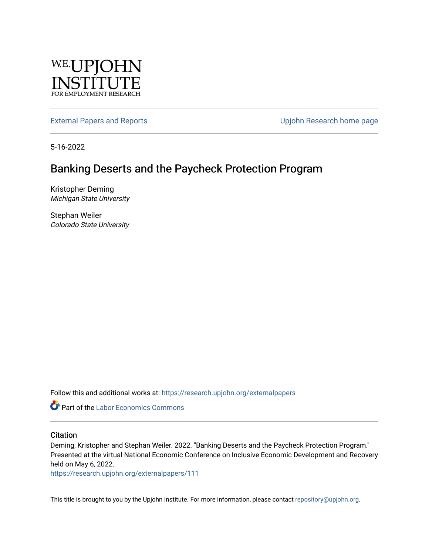

[External Papers and Reports](https://research.upjohn.org/externalpapers) **External Papers and Reports Upjohn Research home page** 

5-16-2022

## Banking Deserts and the Paycheck Protection Program

Kristopher Deming Michigan State University

Stephan Weiler Colorado State University

Follow this and additional works at: [https://research.upjohn.org/externalpapers](https://research.upjohn.org/externalpapers?utm_source=research.upjohn.org%2Fexternalpapers%2F111&utm_medium=PDF&utm_campaign=PDFCoverPages)

**Part of the [Labor Economics Commons](https://network.bepress.com/hgg/discipline/349?utm_source=research.upjohn.org%2Fexternalpapers%2F111&utm_medium=PDF&utm_campaign=PDFCoverPages)** 

#### **Citation**

Deming, Kristopher and Stephan Weiler. 2022. "Banking Deserts and the Paycheck Protection Program." Presented at the virtual National Economic Conference on Inclusive Economic Development and Recovery held on May 6, 2022.

<https://research.upjohn.org/externalpapers/111>

This title is brought to you by the Upjohn Institute. For more information, please contact [repository@upjohn.org](mailto:repository@upjohn.org).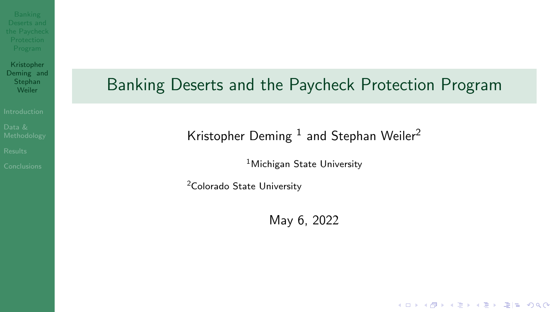<span id="page-1-1"></span><span id="page-1-0"></span>

Kristopher Deming and Stephan<br>Weiler

## Banking Deserts and the Paycheck Protection Program

Kristopher Deming  $1$  and Stephan Weiler<sup>2</sup>

<sup>1</sup>Michigan State University

<sup>2</sup>Colorado State University

May 6, 2022

K ロ ▶ K 何 ▶ K ヨ ▶ K ヨ ▶ 그리도 K 9 Q (N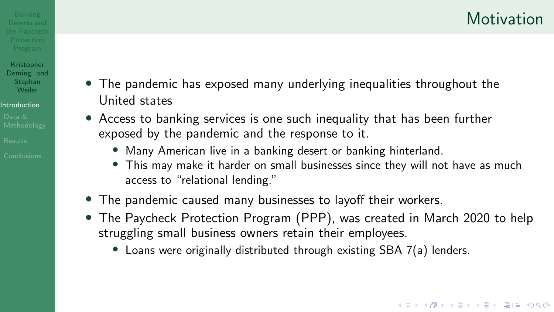# <span id="page-2-0"></span> $D_{\text{Deserts and}}$  anking  $D_{\text{Deserts and}}$  and  $D_{\text{Destrain}}$  and  $D_{\text{Destrain}}$  and  $D_{\text{Destrain}}$  and  $D_{\text{Destrain}}$  and  $D_{\text{Destrain}}$  and  $D_{\text{Destrain}}$  and  $D_{\text{Destrain}}$  and  $D_{\text{Destrain}}$  and  $D_{\text{Destrain}}$  and  $D_{\text{Destrain}}$  and  $D_{\text{Destrain}}$  and  $D_{\text{Destr$

Kristopher Deming and<br>Stephan

- $S_{\text{Lephan}}$  The pandemic has exposed many underlying inequalities throughout the [Introduction](#page-2-0) **Introduction**
- Data & **• •** Access to banking services is one such inequality that has been further  $\epsilon$  exposed by the pandemic and the response to it.
- Many American live in a banking desert or banking hinterland. [Conclusions](#page-16-0)
	- This may make it harder on small businesses since they will not have as much access to "relational lending."
	- The pandemic caused many businesses to layoff their workers.
	- The Paycheck Protection Program (PPP), was created in March 2020 to help struggling small business owners retain their employees.
		- Loans were originally distributed through existing SBA 7(a) lenders.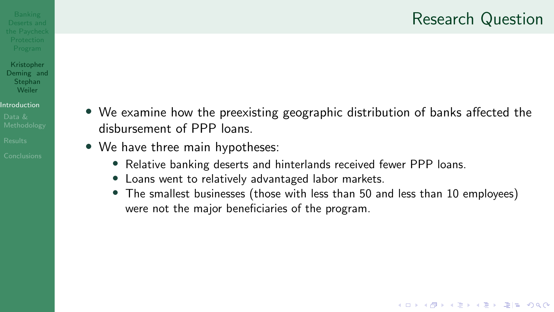#### **Research Question**

K ロ ▶ K 何 ▶ K 로 ▶ K 로 ▶ 그리도 K 9 Q @

#### Kristopher Deming and Stephan Weiler

#### [Introduction](#page-2-0)

- 
- 
- 
- INSTANCE **1980 CONSTRAINED A CONSTRAINED VIOLET CONSTRAINED A • We examine how the preexisting geographic distribution of banks affected the** [Methodology](#page-4-0) **disbursement of PPP loans.**<br>Results
- [Results](#page-7-0)  **We have three main hypotheses:** 
	- Relative banking deserts and hinterlands received fewer PPP loans.
	- Loans went to relatively advantaged labor markets.
	- The smallest businesses (those with less than 50 and less than 10 employees) were not the major beneficiaries of the program.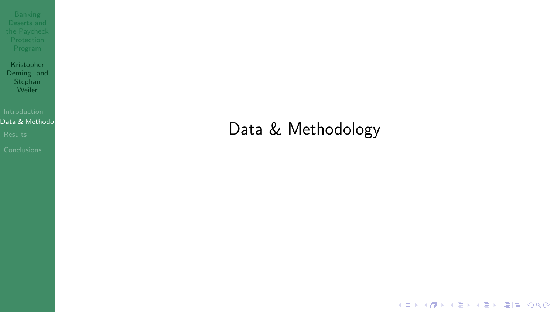<span id="page-4-0"></span>

Kristopher Deming and **Stephan** Weiler

#### Data & Methodol

## [Results](#page-7-0) **Results**

K ロ ▶ K @ ▶ K 할 ▶ K 할 ▶ [할 바 ) 9 Q @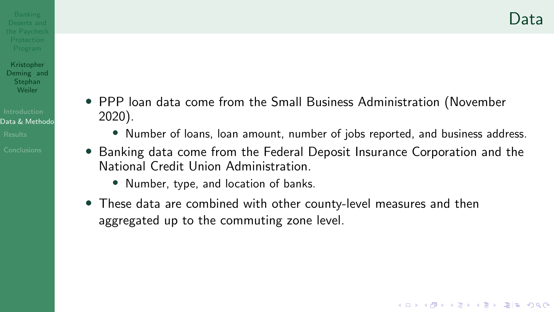K ロ ▶ K 何 ▶ K ヨ ▶ K ヨ ▶ 그리도 K 9 Q (N

- 
- Kristopher Deming and Stephan Weiler
- Data & Methodo
- 
- 
- PPP loan data come from the Small Business Administration (November 2020).
	- Number of loans, loan amount, number of jobs reported, and business address.
- Banking data come from the Federal Deposit Insurance Corporation and the National Credit Union Administration.
	- Number, type, and location of banks.
- These data are combined with other county-level measures and then aggregated up to the commuting zone level.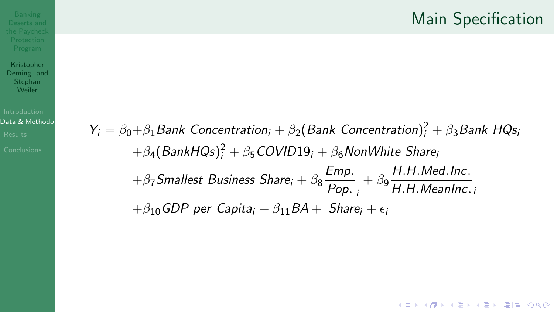#### Kristopher Deming and Stephan Weiler

#### Data & Methodo

 $Y_i = \beta_0 + \beta_1$  Bank Concentration<sub>i</sub> +  $\beta_2$ (Bank Concentration)<sup>2</sup> +  $\beta_3$  Bank HQs,  $+\beta_4(BankHQs)^2_i+\beta_5 COVID19_i+\beta_6 NonWhite~Share_i$  $+\beta_7$ Smallest Business Share<sub>i</sub> +  $\beta_8 \frac{Emp.}{Pop.} + \beta_9 \frac{H.H.Med.lnc.}{H.H.Mean Inc.}$  $+ \beta_{10}$ GDP per Capita<sub>i</sub> +  $\beta_{11}BA +$  Share<sub>i</sub> +  $\epsilon_i$ 

K ロ ▶ K 何 ▶ K 로 ▶ K 로 ▶ 그리도 YO Q @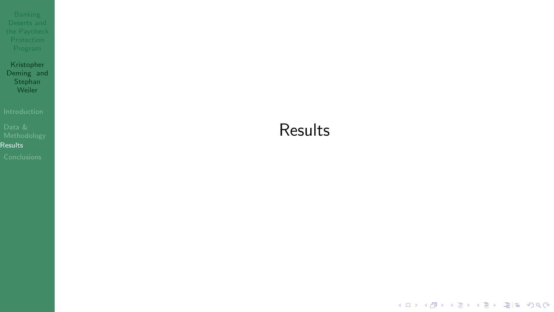<span id="page-7-0"></span>

Kristopher Deming and **Stephan** Weiler

[Results](#page-7-0)

#### **Results**

K ロ ▶ K 御 ▶ K 君 ▶ K 君 ▶ (君) 第1章 1990년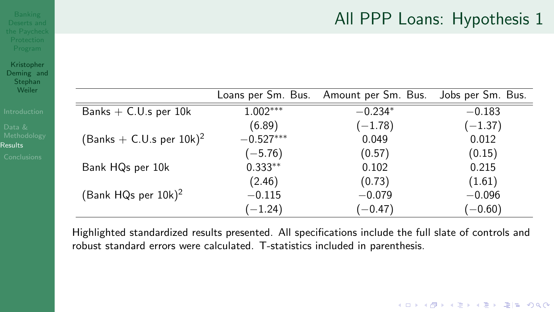### All PPP Loans: Hypothesis 1

K ロ ▶ K @ ▶ K 할 ▶ K 할 ▶ [ 할 날 수 있어

| Kristopher |  |
|------------|--|
| Deming and |  |
| Stephan    |  |
| Weiler     |  |

|  | Introductior |  |  |  |
|--|--------------|--|--|--|
|  |              |  |  |  |
|  |              |  |  |  |

| Weiler                        |                                    | Loans per Sm. Bus. | Amount per Sm. Bus. | Jobs per Sm. Bus. |
|-------------------------------|------------------------------------|--------------------|---------------------|-------------------|
| Introduction                  | Banks $+$ C.U.s per 10k            | $1.002***$         | $-0.234*$           | $-0.183$          |
| Data &                        |                                    | (6.89)             | $(-1.78)$           | $(-1.37)$         |
| Methodology<br><b>Results</b> | $(Banks + C.U.s per 10k)^2$        | $-0.527***$        | 0.049               | 0.012             |
| <b>Conclusions</b>            |                                    | $(-5.76)$          | (0.57)              | (0.15)            |
|                               | Bank HQs per 10k                   | $0.333**$          | 0.102               | 0.215             |
|                               |                                    | (2.46)             | (0.73)              | (1.61)            |
|                               | (Bank HQs per $10k$ ) <sup>2</sup> | $-0.115$           | $-0.079$            | $-0.096$          |
|                               |                                    | $(-1.24)$          | $(-0.47)$           | $(-0.60)$         |

Highlighted standardized results presented. All specifcations include the full slate of controls and robust standard errors were calculated. T-statistics included in parenthesis.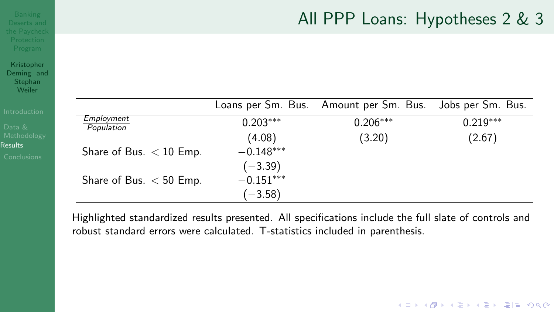# $\mathsf{AII}$  PPP Loans: Hypotheses 2 & 3 the Paycheck and  $\mathsf{AII}$  PPP Loans: Hypotheses 2 & 3

K ロ ▶ K 何 ▶ K 로 ▶ K 로 ▶ 그리도 K 9 Q @

| Introduction           |                           |             | Loans per Sm. Bus. Amount per Sm. Bus. Jobs per Sm. Bus. |            |
|------------------------|---------------------------|-------------|----------------------------------------------------------|------------|
| Data &                 | Employment<br>Population  | $0.203***$  | $0.206***$                                               | $0.219***$ |
| Methodology<br>desults |                           | (4.08)      | (3.20)                                                   | (2.67)     |
| Conclusions            | Share of Bus. $<$ 10 Emp. | $-0.148***$ |                                                          |            |
|                        |                           | $(-3.39)$   |                                                          |            |
|                        | Share of Bus. $<$ 50 Emp. | $-0.151***$ |                                                          |            |
|                        |                           | $(-3.58)$   |                                                          |            |

Kristopher Deming and Stephan Weiler

**[Results](#page-7-0)** 

Highlighted standardized results presented. All specifcations include the full slate of controls and robust standard errors were calculated. T-statistics included in parenthesis.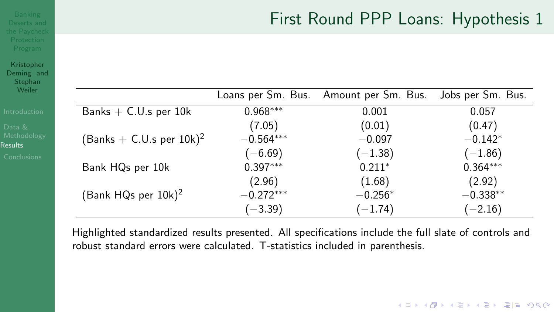# Deserts and First Round PPP Loans: Hypothesis 1

| Weiler                        |                                        |             | Loans per Sm. Bus. Amount per Sm. Bus. | Jobs per Sm. Bus. |
|-------------------------------|----------------------------------------|-------------|----------------------------------------|-------------------|
| Introduction                  | Banks $+$ C.U.s per 10k                | $0.968***$  | 0.001                                  | 0.057             |
| Data &                        |                                        | (7.05)      | (0.01)                                 | (0.47)            |
| Methodology<br><b>Results</b> | (Banks $+$ C.U.s per 10k) <sup>2</sup> | $-0.564***$ | $-0.097$                               | $-0.142*$         |
| <b>Conclusions</b>            |                                        | $(-6.69)$   | $(-1.38)$                              | $(-1.86)$         |
|                               | Bank HQs per 10k                       | $0.397***$  | $0.211*$                               | $0.364***$        |
|                               |                                        | (2.96)      | (1.68)                                 | (2.92)            |
|                               | (Bank HQs per $10k$ ) <sup>2</sup>     | $-0.272***$ | $-0.256*$                              | $-0.338**$        |
|                               |                                        | $(-3.39)$   | $(-1.74)$                              | $(-2.16)$         |

Kristopher Deming and Stephan<br>Weiler

> Highlighted standardized results presented. All specifcations include the full slate of controls and robust standard errors were calculated. T-statistics included in parenthesis.

> > K ロ ▶ K 何 ▶ K 로 ▶ K 로 ▶ 그리도 K 9 Q @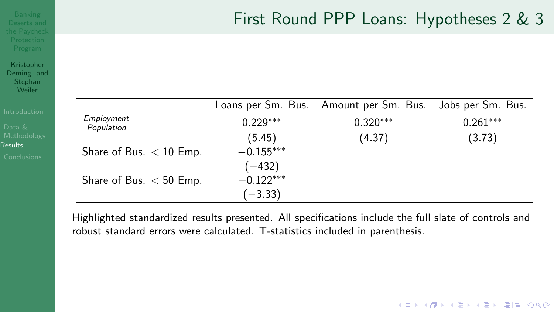# Banking<br>Deserts and First Round PPP Loans: Hypotheses 2 & 3

K ロ ▶ K 何 ▶ K 로 ▶ K 로 ▶ 그리도 K 9 Q @

| <b>Introduction</b>    |                           |             | Loans per Sm. Bus. Amount per Sm. Bus. | Jobs per Sm. Bus. |
|------------------------|---------------------------|-------------|----------------------------------------|-------------------|
| Data &                 | Employment<br>Population  | $0.229***$  | $0.320***$                             | $0.261***$        |
| Methodology            |                           | (5.45)      | (4.37)                                 | (3.73)            |
| desults<br>Conclusions | Share of Bus. $<$ 10 Emp. | $-0.155***$ |                                        |                   |
|                        |                           | $(-432)$    |                                        |                   |
|                        | Share of Bus. $<$ 50 Emp. | $-0.122***$ |                                        |                   |
|                        |                           | $(-3.33)$   |                                        |                   |

Kristopher Deming and **Stephan** Weiler

**[Results](#page-7-0)** 

Highlighted standardized results presented. All specifcations include the full slate of controls and robust standard errors were calculated. T-statistics included in parenthesis.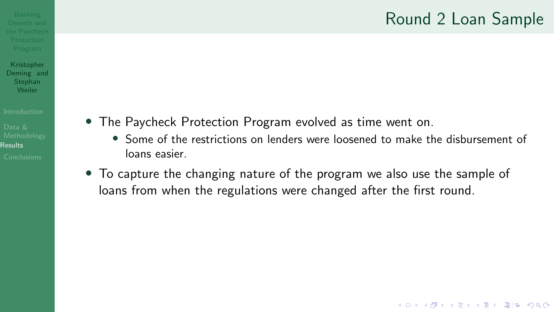### Round 2 Loan Sample

K ロ ▶ K 何 ▶ K ヨ ▶ K ヨ ▶ 그리도 K 9 Q (N

#### Kristopher Deming and **Stephan** Weiler

[Results](#page-7-0)

- The Paycheck Protection Program evolved as time went on.
	- Some of the restrictions on lenders were loosened to make the disbursement of loans easier.
- To capture the changing nature of the program we also use the sample of loans from when the regulations were changed after the first round.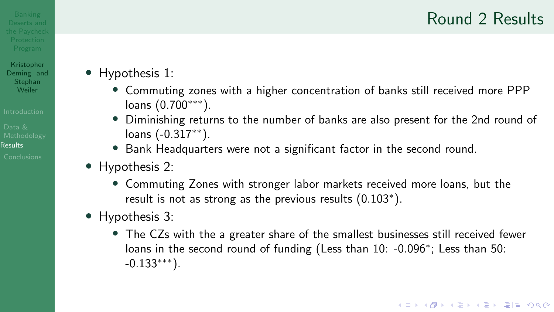### $\mathsf{Round}\ 2\ \mathsf{Results}\$

Kristopher Stephan<br>Weiler

- Deming and  **Hypothesis 1:**
- Commuting zones with a higher concentration of banks still received more PPP loans (0.700∗∗∗). [Introduction](#page-2-0)
- $P_{\text{data}}$  & Diminishing returns to the number of banks are also present for the 2nd round of Methodology loans (-0.317<sup>∗∗</sup>).
- [Results](#page-7-0)  **Bank Headquarters were not a significant factor in the second round.** 
	- Hypothesis 2:
		- Commuting Zones with stronger labor markets received more loans, but the result is not as strong as the previous results (0.103<sup>∗</sup>).
	- Hypothesis 3:
		- The CZs with the a greater share of the smallest businesses still received fewer loans in the second round of funding (Less than 10: -0.096<sup>∗</sup>; Less than 50:  $-0.133$ <sup>∗∗∗∗</sup>).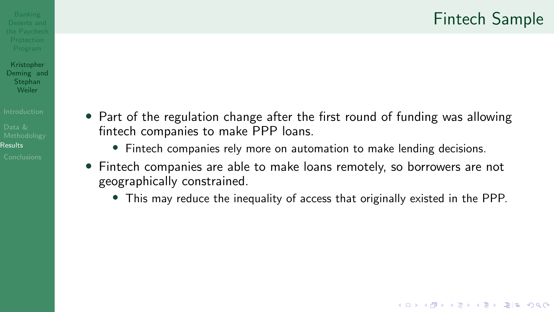K ロ ▶ K 何 ▶ K 로 ▶ K 로 ▶ (토) ▶ (0) 0) 0

# Kristopher

Deming and **Stephan** Weiler

[Results](#page-7-0)

- Part of the regulation change after the first round of funding was allowing fntech companies to make PPP loans.
	- Fintech companies rely more on automation to make lending decisions.
- Fintech companies are able to make loans remotely, so borrowers are not geographically constrained.
	- This may reduce the inequality of access that originally existed in the PPP.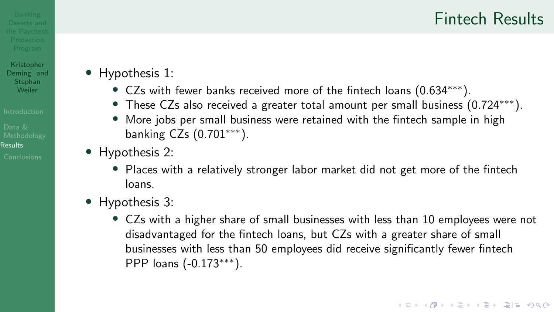#### $\mathsf{P}_\mathsf{s}$ <sup>Banking</sup> and Fintech Results the Paycheck  $\mathsf{F}_\mathsf{t}$  and  $\mathsf{F}_\mathsf{t}$

Kristopher Stephan<br>Weiler

Deming and **•** Hypothesis 1:

- CZs with fewer banks received more of the fintech loans (0.634<sup>\*\*\*</sup>).
- **•** These CZs also received a greater total amount per small business (0.724<sup>\*\*\*</sup>).
- **More jobs per small business were retained with the fintech sample in high Data & Data Bata Bata Bata Bata B**<br>Data **banking CZs (0.701\*\*\*)**. banking CZs  $(0.701***)$ .
- [Results](#page-7-0)  $\overline{\phantom{a}}$  **[Conclusions](#page-16-0) •** Hypothesis 2:
	- Places with a relatively stronger labor market did not get more of the fintech loans.
	- Hypothesis 3:
		- CZs with a higher share of small businesses with less than 10 employees were not disadvantaged for the fntech loans, but CZs with a greater share of small businesses with less than 50 employees did receive signifcantly fewer fntech PPP loans (-0.173∗∗∗).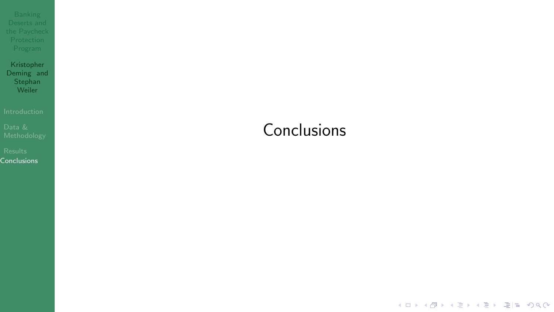<span id="page-16-0"></span>

Kristopher Deming and **Stephan** Weiler

[Conclusions](#page-16-0)

### **Conclusions**

K ロ ▶ K 御 ▶ K 君 ▶ K 君 ▶ (君) 第1章 1990년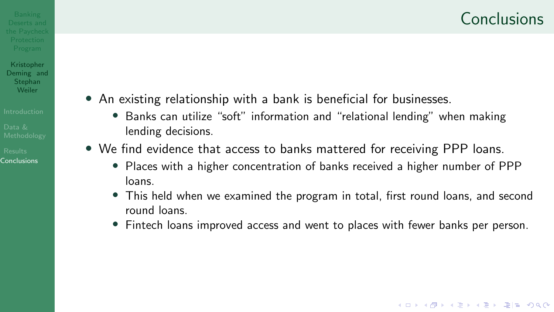K ロ ▶ K 何 ▶ K ヨ ▶ K ヨ ▶ 그리도 K 9 Q (N

#### Kristopher Deming and **Stephan** Weiler

- An existing relationship with a bank is beneficial for businesses.
- [Introduction](#page-2-0) Banks can utilize "soft" information and "relational lending" when making lending decisions.
- [Results](#page-7-0) We find evidence that access to banks mattered for receiving PPP loans.
	- Places with a higher concentration of banks received a higher number of PPP loans.
	- This held when we examined the program in total, frst round loans, and second round loans.
	- Fintech loans improved access and went to places with fewer banks per person.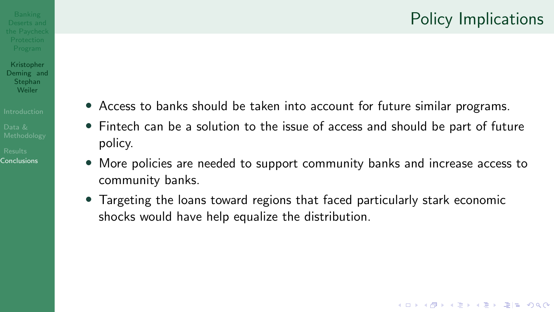K ロ ▶ K 何 ▶ K ヨ ▶ K ヨ ▶ 그리도 K 9 Q (N

#### Kristopher Deming and

**Stephan** Weiler

- 
- 
- $\mathbf{I}_{\text{Introduction}}$  $\mathbf{I}_{\text{Introduction}}$  $\mathbf{I}_{\text{Introduction}}$   $\blacksquare$   $\blacksquare$  Access to banks should be taken into account for future similar programs.
- $D_{\text{data}}$  & Fintech can be a solution to the issue of access and should be part of future  $R_{\text{esults}}$  **policy.**<br>Conclusions **Conclusions** 
	- More policies are needed to support community banks and increase access to community banks.
	- Targeting the loans toward regions that faced particularly stark economic shocks would have help equalize the distribution.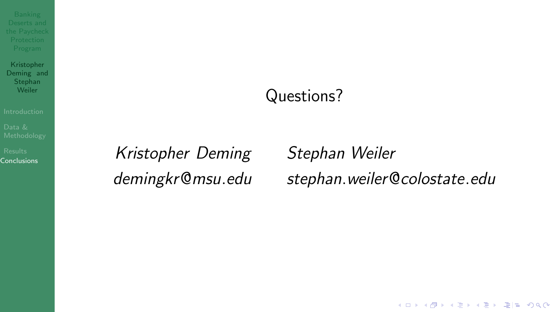<span id="page-19-0"></span>

Kristopher Deming and Stephan<br>Weiler

[Results](#page-7-0)<br>Conclusions

## Questions?

Kristopher Deming Stephan Weiler

demingkr@msu.edu stephan.weiler@colostate.edu

K ロ ▶ K 個 ▶ K 결 ▶ K 결 ▶ (결) ≥ 10 Q Q Q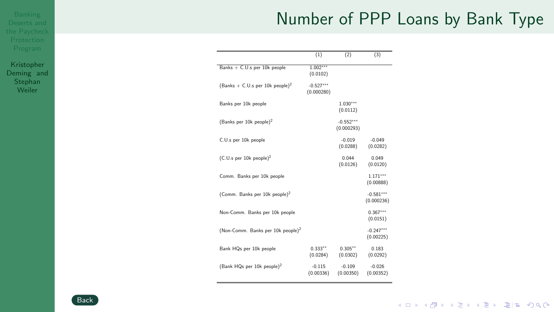### Number of PPP Loans by Bank Type

|                                               | (1)                       | (2)                       | (3)                       |
|-----------------------------------------------|---------------------------|---------------------------|---------------------------|
| Banks + C.U.s per 10k people                  | $1.002***$<br>(0.0102)    |                           |                           |
| $(Banks + C.U.s per 10k people)^2$            | $-0.527***$<br>(0.000280) |                           |                           |
| Banks per 10k people                          |                           | $1.030***$<br>(0.0112)    |                           |
| (Banks per 10k people) <sup>2</sup>           |                           | $-0.552***$<br>(0.000293) |                           |
| C.U.s per 10k people                          |                           | $-0.019$<br>(0.0288)      | $-0.049$<br>(0.0282)      |
| $(C.U.s per 10k people)^2$                    |                           | 0.044<br>(0.0126)         | 0.049<br>(0.0120)         |
| Comm. Banks per 10k people                    |                           |                           | $1.171***$<br>(0.00888)   |
| (Comm. Banks per 10k people) <sup>2</sup>     |                           |                           | $-0.581***$<br>(0.000236) |
| Non-Comm. Banks per 10k people                |                           |                           | $0.367***$<br>(0.0151)    |
| (Non-Comm. Banks per 10k people) <sup>2</sup> |                           |                           | $-0.247***$<br>(0.00225)  |
| Bank HQs per 10k people                       | $0.333**$<br>(0.0284)     | $0.305**$<br>(0.0302)     | 0183<br>(0.0292)          |
| (Bank HQs per 10k people) <sup>2</sup>        | $-0.115$<br>(0.00336)     | $-0.109$<br>(0.00350)     | $-0.026$<br>(0.00352)     |

Kristopher Deming and **Stephan** Weiler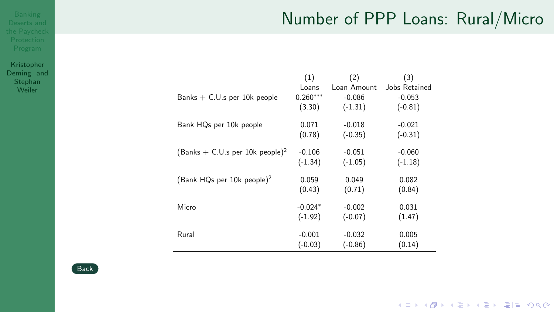## Number of PPP Loans: Rural/Micro

Kristopher Deming and Stephan Weiler

|                                        | (1)        | (2)         | (3)           |
|----------------------------------------|------------|-------------|---------------|
|                                        | Loans      | Loan Amount | Jobs Retained |
| Banks $+$ C.U.s per 10k people         | $0.260***$ | $-0.086$    | $-0.053$      |
|                                        | (3.30)     | $(-1.31)$   | $(-0.81)$     |
| Bank HQs per 10k people                | 0.071      | $-0.018$    | $-0.021$      |
|                                        | (0.78)     | $(-0.35)$   | $(-0.31)$     |
| $(Banks + C.U.s per 10k people)^2$     | $-0.106$   | $-0.051$    | $-0.060$      |
|                                        | $(-1.34)$  | $(-1.05)$   | $(-1.18)$     |
| (Bank HQs per 10k people) <sup>2</sup> | 0.059      | 0.049       | 0.082         |
|                                        | (0.43)     | (0.71)      | (0.84)        |
| Micro                                  | $-0.024*$  | $-0.002$    | 0.031         |
|                                        | $(-1.92)$  | $(-0.07)$   | (1.47)        |
| Rural                                  | $-0.001$   | $-0.032$    | 0.005         |
|                                        | $(-0.03)$  | $(-0.86)$   | (0.14)        |



K ロ ▶ K 御 ▶ K 결 ▶ K 결 ▶ [결] ≥ 10 Q @